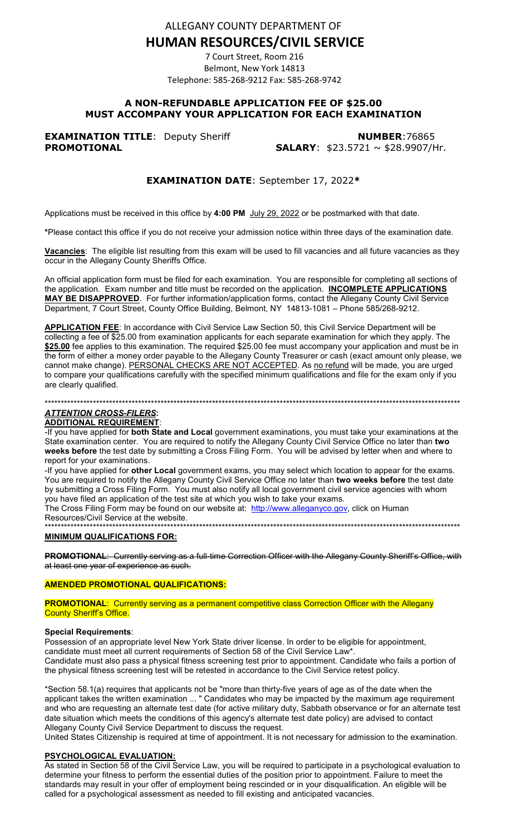ALLEGANY COUNTY DEPARTMENT OF

# **HUMAN RESOURCES/CIVIL SERVICE**

7 Court Street, Room 216 Belmont, New York 14813 Telephone: 585-268-9212 Fax: 585-268-9742

# **A NON-REFUNDABLE APPLICATION FEE OF \$25.00 MUST ACCOMPANY YOUR APPLICATION FOR EACH EXAMINATION**

**EXAMINATION TITLE:** Deputy Sheriff **NUMBER:76865 PROMOTIONAL SALARY:** \$23.5721 ~ \$28.9907/Hr.

# **EXAMINATION DATE**: September 17, 2022**\***

Applications must be received in this office by **4:00 PM** July 29, 2022 or be postmarked with that date.

**\***Please contact this office if you do not receive your admission notice within three days of the examination date.

**Vacancies**: The eligible list resulting from this exam will be used to fill vacancies and all future vacancies as they occur in the Allegany County Sheriffs Office.

An official application form must be filed for each examination. You are responsible for completing all sections of the application. Exam number and title must be recorded on the application. **INCOMPLETE APPLICATIONS MAY BE DISAPPROVED**. For further information/application forms, contact the Allegany County Civil Service Department, 7 Court Street, County Office Building, Belmont, NY 14813-1081 – Phone 585/268-9212.

**APPLICATION FEE**: In accordance with Civil Service Law Section 50, this Civil Service Department will be collecting a fee of \$25.00 from examination applicants for each separate examination for which they apply. The \$25.00 fee applies to this examination. The required \$25.00 fee must accompany your application and must be in the form of either a money order payable to the Allegany County Treasurer or cash (exact amount only please, we cannot make change). PERSONAL CHECKS ARE NOT ACCEPTED. As no refund will be made, you are urged to compare your qualifications carefully with the specified minimum qualifications and file for the exam only if you are clearly qualified.

# \*\*\*\*\*\*\*\*\*\*\*\*\*\*\*\*\*\*\*\*\*\*\*\*\*\*\*\*\*\*\*\*\*\*\*\*\*\*\*\*\*\*\*\*\*\*\*\*\*\*\*\*\*\*\*\*\*\*\*\*\*\*\*\*\*\*\*\*\*\*\*\*\*\*\*\*\*\*\*\*\*\*\*\*\*\*\*\*\*\*\*\*\*\*\*\*\*\*\*\*\*\*\*\*\*\*\*\*\*\*\*\*\*\*\*\*\*\*\*\*\*\*\*\*\*\*\*\*\*

# *ATTENTION CROSS-FILERS***:**

# **ADDITIONAL REQUIREMENT**:

-If you have applied for **both State and Local** government examinations, you must take your examinations at the State examination center. You are required to notify the Allegany County Civil Service Office no later than **two weeks before** the test date by submitting a Cross Filing Form. You will be advised by letter when and where to report for your examinations.

-If you have applied for **other Local** government exams, you may select which location to appear for the exams. You are required to notify the Allegany County Civil Service Office no later than **two weeks before** the test date by submitting a Cross Filing Form. You must also notify all local government civil service agencies with whom you have filed an application of the test site at which you wish to take your exams.

The Cross Filing Form may be found on our website at: [http://www.alleganyco.gov,](http://www.alleganyco.gov/) click on Human Resources/Civil Service at the website. \*\*\*\*\*\*\*\*\*\*\*\*\*\*\*\*\*\*\*\*\*\*\*\*\*\*\*\*\*\*\*\*\*\*\*\*\*\*\*\*\*\*\*\*\*\*\*\*\*\*\*\*\*\*\*\*\*\*\*\*\*\*\*\*\*\*\*\*\*\*\*\*\*\*\*\*\*\*\*\*\*\*\*\*\*\*\*\*\*\*\*\*\*\*\*\*\*\*\*\*\*\*\*\*\*\*\*\*\*\*\*\*\*\*\*\*\*\*\*\*\*\*\*\*\*\*\*\*\*

### **MINIMUM QUALIFICATIONS FOR:**

**PROMOTIONAL**: Currently serving as a full-time Correction Officer with the Allegany County Sheriff's Office, with at least one year of experience as such.

### **AMENDED PROMOTIONAL QUALIFICATIONS:**

**PROMOTIONAL:** Currently serving as a permanent competitive class Correction Officer with the Allegany **County Sheriff's Office.** 

### **Special Requirements**:

Possession of an appropriate level New York State driver license. In order to be eligible for appointment, candidate must meet all current requirements of Section 58 of the Civil Service Law\*. Candidate must also pass a physical fitness screening test prior to appointment. Candidate who fails a portion of the physical fitness screening test will be retested in accordance to the Civil Service retest policy.

\*Section 58.1(a) requires that applicants not be "more than thirty-five years of age as of the date when the applicant takes the written examination ... " Candidates who may be impacted by the maximum age requirement and who are requesting an alternate test date (for active military duty, Sabbath observance or for an alternate test date situation which meets the conditions of this agency's alternate test date policy) are advised to contact Allegany County Civil Service Department to discuss the request.

United States Citizenship is required at time of appointment. It is not necessary for admission to the examination.

### **PSYCHOLOGICAL EVALUATION:**

As stated in Section 58 of the Civil Service Law, you will be required to participate in a psychological evaluation to determine your fitness to perform the essential duties of the position prior to appointment. Failure to meet the standards may result in your offer of employment being rescinded or in your disqualification. An eligible will be called for a psychological assessment as needed to fill existing and anticipated vacancies.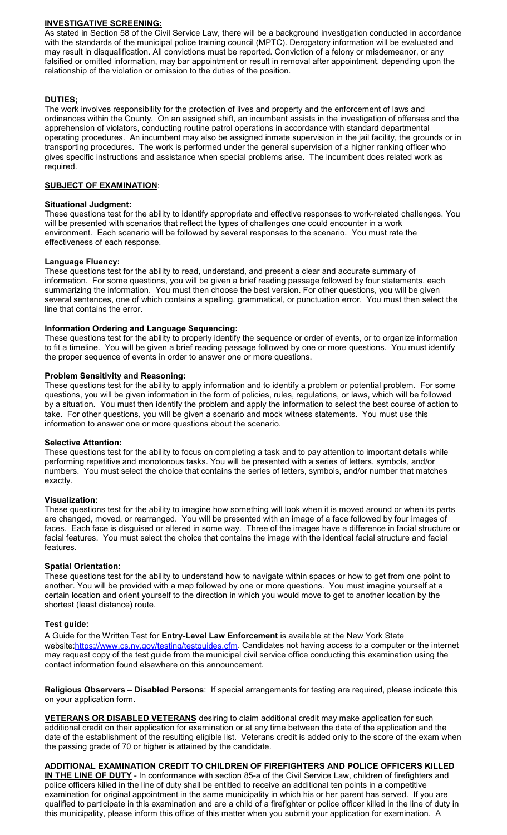# **INVESTIGATIVE SCREENING:**

As stated in Section 58 of the Civil Service Law, there will be a background investigation conducted in accordance with the standards of the municipal police training council (MPTC). Derogatory information will be evaluated and may result in disqualification. All convictions must be reported. Conviction of a felony or misdemeanor, or any falsified or omitted information, may bar appointment or result in removal after appointment, depending upon the relationship of the violation or omission to the duties of the position.

# **DUTIES;**

The work involves responsibility for the protection of lives and property and the enforcement of laws and ordinances within the County. On an assigned shift, an incumbent assists in the investigation of offenses and the apprehension of violators, conducting routine patrol operations in accordance with standard departmental operating procedures. An incumbent may also be assigned inmate supervision in the jail facility, the grounds or in transporting procedures. The work is performed under the general supervision of a higher ranking officer who gives specific instructions and assistance when special problems arise. The incumbent does related work as required.

### **SUBJECT OF EXAMINATION**:

### **Situational Judgment:**

These questions test for the ability to identify appropriate and effective responses to work-related challenges. You will be presented with scenarios that reflect the types of challenges one could encounter in a work environment. Each scenario will be followed by several responses to the scenario. You must rate the effectiveness of each response.

### **Language Fluency:**

These questions test for the ability to read, understand, and present a clear and accurate summary of information. For some questions, you will be given a brief reading passage followed by four statements, each summarizing the information. You must then choose the best version. For other questions, you will be given several sentences, one of which contains a spelling, grammatical, or punctuation error. You must then select the line that contains the error.

# **Information Ordering and Language Sequencing:**

These questions test for the ability to properly identify the sequence or order of events, or to organize information to fit a timeline. You will be given a brief reading passage followed by one or more questions. You must identify the proper sequence of events in order to answer one or more questions.

### **Problem Sensitivity and Reasoning:**

These questions test for the ability to apply information and to identify a problem or potential problem. For some questions, you will be given information in the form of policies, rules, regulations, or laws, which will be followed by a situation. You must then identify the problem and apply the information to select the best course of action to take. For other questions, you will be given a scenario and mock witness statements. You must use this information to answer one or more questions about the scenario.

### **Selective Attention:**

These questions test for the ability to focus on completing a task and to pay attention to important details while performing repetitive and monotonous tasks. You will be presented with a series of letters, symbols, and/or numbers. You must select the choice that contains the series of letters, symbols, and/or number that matches exactly.

### **Visualization:**

These questions test for the ability to imagine how something will look when it is moved around or when its parts are changed, moved, or rearranged. You will be presented with an image of a face followed by four images of faces. Each face is disguised or altered in some way. Three of the images have a difference in facial structure or facial features. You must select the choice that contains the image with the identical facial structure and facial features.

### **Spatial Orientation:**

These questions test for the ability to understand how to navigate within spaces or how to get from one point to another. You will be provided with a map followed by one or more questions. You must imagine yourself at a certain location and orient yourself to the direction in which you would move to get to another location by the shortest (least distance) route.

### **Test guide:**

A Guide for the Written Test for **Entry-Level Law Enforcement** is available at the New York State website[:https://www.cs.ny.gov/testing/testguides.cfm.](https://www.cs.ny.gov/testing/testguides.cfm) Candidates not having access to a computer or the internet may request copy of the test guide from the municipal civil service office conducting this examination using the contact information found elsewhere on this announcement.

**Religious Observers – Disabled Persons**: If special arrangements for testing are required, please indicate this on your application form.

**VETERANS OR DISABLED VETERANS** desiring to claim additional credit may make application for such additional credit on their application for examination or at any time between the date of the application and the date of the establishment of the resulting eligible list. Veterans credit is added only to the score of the exam when the passing grade of 70 or higher is attained by the candidate.

# **ADDITIONAL EXAMINATION CREDIT TO CHILDREN OF FIREFIGHTERS AND POLICE OFFICERS KILLED**

**IN THE LINE OF DUTY** - In conformance with section 85-a of the Civil Service Law, children of firefighters and police officers killed in the line of duty shall be entitled to receive an additional ten points in a competitive examination for original appointment in the same municipality in which his or her parent has served. If you are qualified to participate in this examination and are a child of a firefighter or police officer killed in the line of duty in this municipality, please inform this office of this matter when you submit your application for examination. A